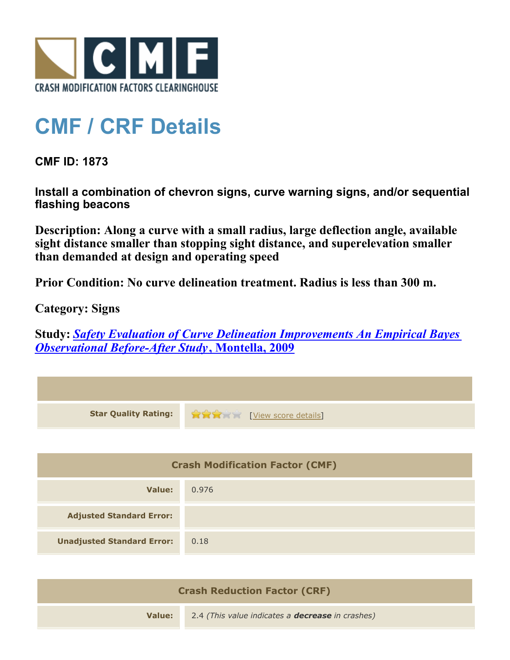

## **CMF / CRF Details**

**CMF ID: 1873**

**Install a combination of chevron signs, curve warning signs, and/or sequential flashing beacons**

**Description: Along a curve with a small radius, large deflection angle, available sight distance smaller than stopping sight distance, and superelevation smaller than demanded at design and operating speed**

**Prior Condition: No curve delineation treatment. Radius is less than 300 m.**

**Category: Signs**

**Study:** *[Safety Evaluation of Curve Delineation Improvements An Empirical Bayes](http://www.cmfclearinghouse.org/study_detail.cfm?stid=102) [Observational Before-After Study](http://www.cmfclearinghouse.org/study_detail.cfm?stid=102)***[, Montella, 2009](http://www.cmfclearinghouse.org/study_detail.cfm?stid=102)**

| <b>Star Quality Rating:</b>            | <u>View score details</u> |
|----------------------------------------|---------------------------|
|                                        |                           |
| <b>Crash Modification Factor (CMF)</b> |                           |
| Value:                                 | 0.976                     |
| <b>Adjusted Standard Error:</b>        |                           |
| <b>Unadjusted Standard Error:</b>      | 0.18                      |
|                                        |                           |

| <b>Crash Reduction Factor (CRF)</b> |                                                         |
|-------------------------------------|---------------------------------------------------------|
| Value:                              | 2.4 (This value indicates a <b>decrease</b> in crashes) |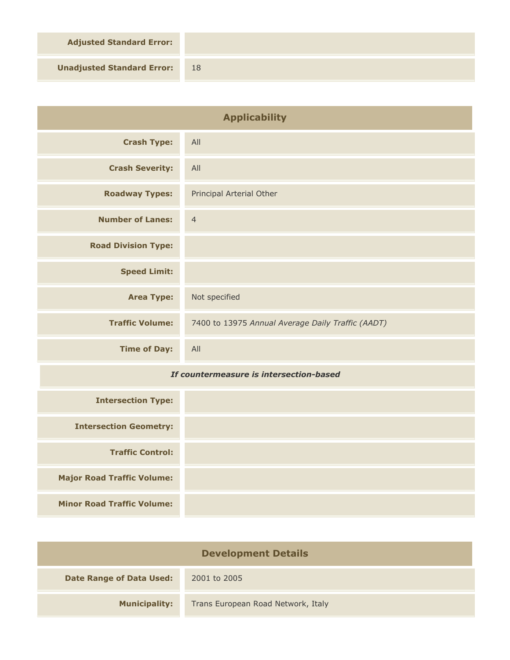**Adjusted Standard Error:**

**Unadjusted Standard Error:** 18

| <b>Applicability</b>       |                                                   |
|----------------------------|---------------------------------------------------|
| <b>Crash Type:</b>         | All                                               |
| <b>Crash Severity:</b>     | All                                               |
| <b>Roadway Types:</b>      | Principal Arterial Other                          |
| <b>Number of Lanes:</b>    | $\overline{4}$                                    |
| <b>Road Division Type:</b> |                                                   |
| <b>Speed Limit:</b>        |                                                   |
| <b>Area Type:</b>          | Not specified                                     |
| <b>Traffic Volume:</b>     | 7400 to 13975 Annual Average Daily Traffic (AADT) |
| <b>Time of Day:</b>        | All                                               |

## *If countermeasure is intersection-based*

| <b>Intersection Type:</b>         |  |
|-----------------------------------|--|
| <b>Intersection Geometry:</b>     |  |
| <b>Traffic Control:</b>           |  |
| <b>Major Road Traffic Volume:</b> |  |
| <b>Minor Road Traffic Volume:</b> |  |

| <b>Development Details</b>      |                                    |
|---------------------------------|------------------------------------|
| <b>Date Range of Data Used:</b> | 2001 to 2005                       |
| <b>Municipality:</b>            | Trans European Road Network, Italy |